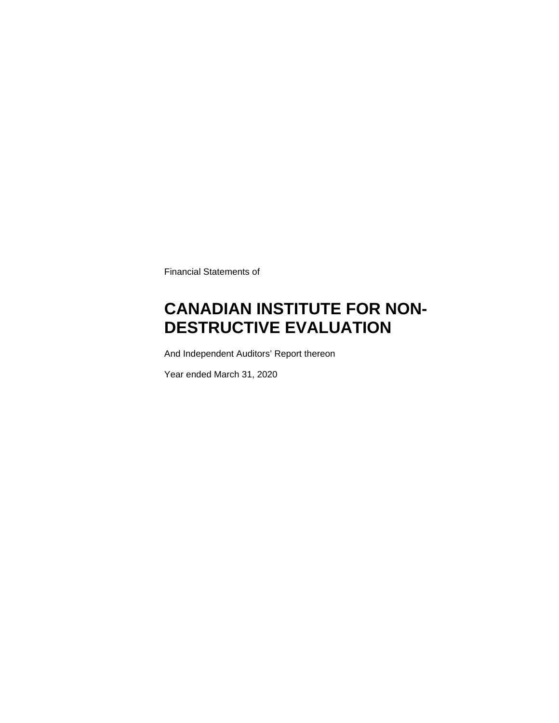Financial Statements of

### **CANADIAN INSTITUTE FOR NON-DESTRUCTIVE EVALUATION**

And Independent Auditors' Report thereon

Year ended March 31, 2020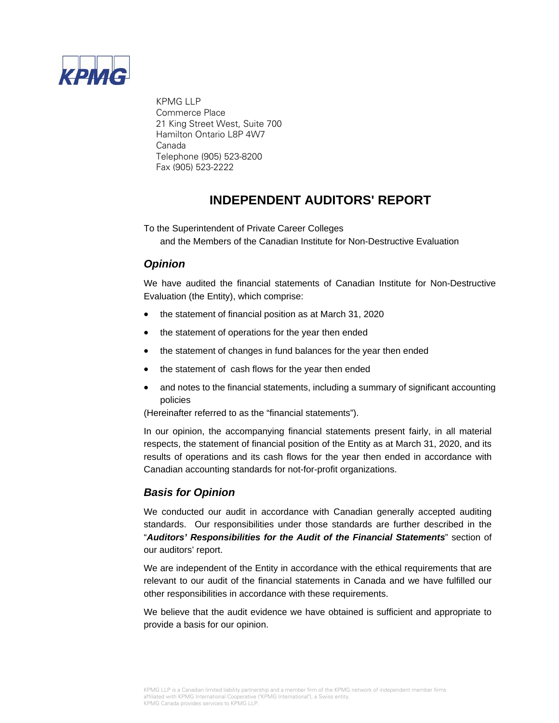

 KPMG LLP Commerce Place 21 King Street West, Suite 700 Hamilton Ontario L8P 4W7 Canada Telephone (905) 523-8200 Fax (905) 523-2222

### **INDEPENDENT AUDITORS' REPORT**

To the Superintendent of Private Career Colleges and the Members of the Canadian Institute for Non-Destructive Evaluation

### *Opinion*

We have audited the financial statements of Canadian Institute for Non-Destructive Evaluation (the Entity), which comprise:

- the statement of financial position as at March 31, 2020
- the statement of operations for the year then ended
- the statement of changes in fund balances for the year then ended
- the statement of cash flows for the year then ended
- and notes to the financial statements, including a summary of significant accounting policies

(Hereinafter referred to as the "financial statements").

In our opinion, the accompanying financial statements present fairly, in all material respects, the statement of financial position of the Entity as at March 31, 2020, and its results of operations and its cash flows for the year then ended in accordance with Canadian accounting standards for not-for-profit organizations.

### *Basis for Opinion*

We conducted our audit in accordance with Canadian generally accepted auditing standards. Our responsibilities under those standards are further described in the "*Auditors' Responsibilities for the Audit of the Financial Statements*" section of our auditors' report.

We are independent of the Entity in accordance with the ethical requirements that are relevant to our audit of the financial statements in Canada and we have fulfilled our other responsibilities in accordance with these requirements.

We believe that the audit evidence we have obtained is sufficient and appropriate to provide a basis for our opinion.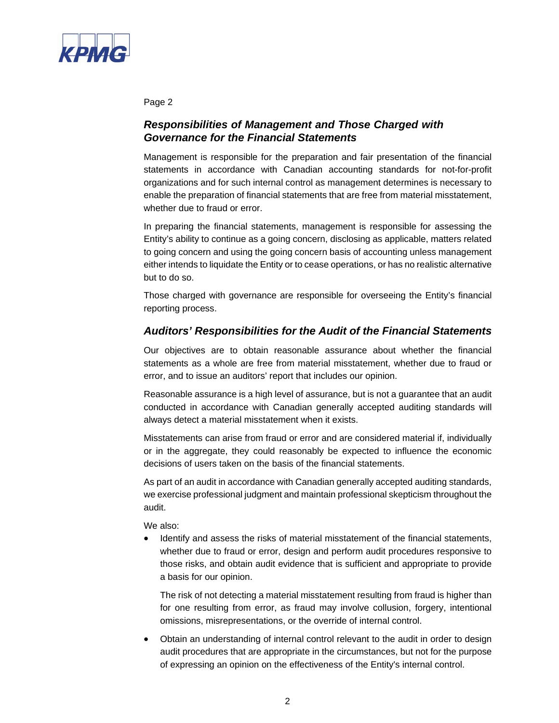

Page 2

### *Responsibilities of Management and Those Charged with Governance for the Financial Statements*

Management is responsible for the preparation and fair presentation of the financial statements in accordance with Canadian accounting standards for not-for-profit organizations and for such internal control as management determines is necessary to enable the preparation of financial statements that are free from material misstatement, whether due to fraud or error.

In preparing the financial statements, management is responsible for assessing the Entity's ability to continue as a going concern, disclosing as applicable, matters related to going concern and using the going concern basis of accounting unless management either intends to liquidate the Entity or to cease operations, or has no realistic alternative but to do so.

Those charged with governance are responsible for overseeing the Entity's financial reporting process.

### *Auditors' Responsibilities for the Audit of the Financial Statements*

Our objectives are to obtain reasonable assurance about whether the financial statements as a whole are free from material misstatement, whether due to fraud or error, and to issue an auditors' report that includes our opinion.

Reasonable assurance is a high level of assurance, but is not a guarantee that an audit conducted in accordance with Canadian generally accepted auditing standards will always detect a material misstatement when it exists.

Misstatements can arise from fraud or error and are considered material if, individually or in the aggregate, they could reasonably be expected to influence the economic decisions of users taken on the basis of the financial statements.

As part of an audit in accordance with Canadian generally accepted auditing standards, we exercise professional judgment and maintain professional skepticism throughout the audit.

We also:

 Identify and assess the risks of material misstatement of the financial statements, whether due to fraud or error, design and perform audit procedures responsive to those risks, and obtain audit evidence that is sufficient and appropriate to provide a basis for our opinion.

The risk of not detecting a material misstatement resulting from fraud is higher than for one resulting from error, as fraud may involve collusion, forgery, intentional omissions, misrepresentations, or the override of internal control.

 Obtain an understanding of internal control relevant to the audit in order to design audit procedures that are appropriate in the circumstances, but not for the purpose of expressing an opinion on the effectiveness of the Entity's internal control.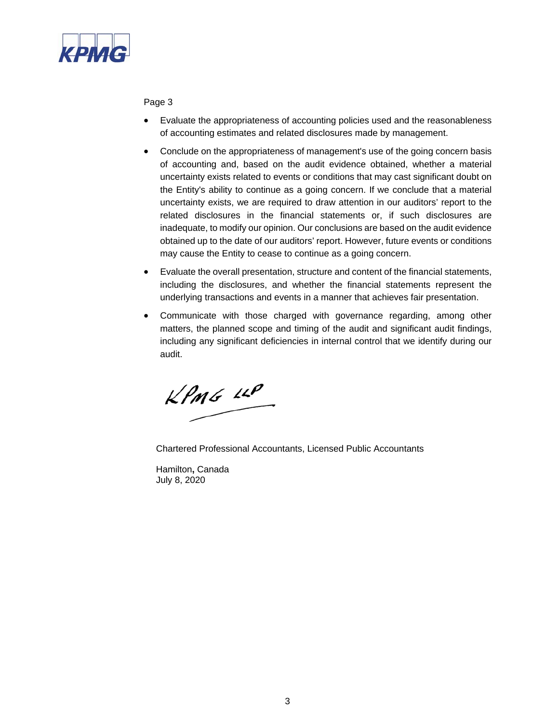

Page 3

- Evaluate the appropriateness of accounting policies used and the reasonableness of accounting estimates and related disclosures made by management.
- Conclude on the appropriateness of management's use of the going concern basis of accounting and, based on the audit evidence obtained, whether a material uncertainty exists related to events or conditions that may cast significant doubt on the Entity's ability to continue as a going concern. If we conclude that a material uncertainty exists, we are required to draw attention in our auditors' report to the related disclosures in the financial statements or, if such disclosures are inadequate, to modify our opinion. Our conclusions are based on the audit evidence obtained up to the date of our auditors' report. However, future events or conditions may cause the Entity to cease to continue as a going concern.
- Evaluate the overall presentation, structure and content of the financial statements, including the disclosures, and whether the financial statements represent the underlying transactions and events in a manner that achieves fair presentation.
- Communicate with those charged with governance regarding, among other matters, the planned scope and timing of the audit and significant audit findings, including any significant deficiencies in internal control that we identify during our audit.

 $kPMS$  14P

Chartered Professional Accountants, Licensed Public Accountants

 Hamilton**,** Canada July 8, 2020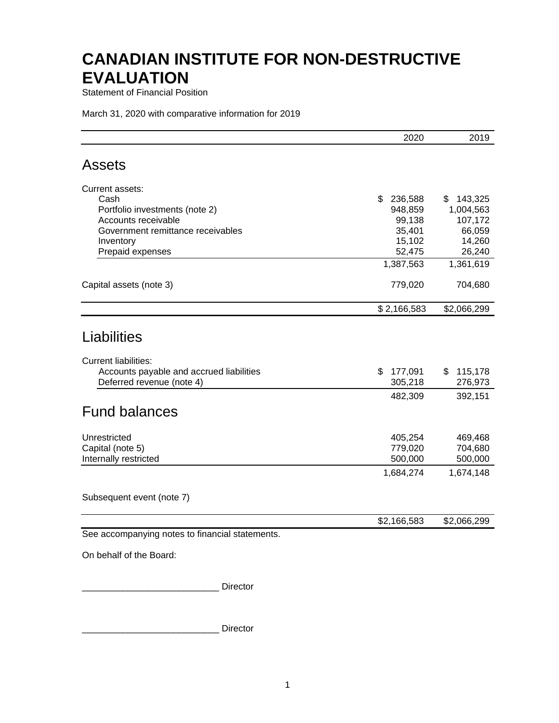Statement of Financial Position

March 31, 2020 with comparative information for 2019

|                                                                                                                                                                                                                                   | 2020          | 2019          |
|-----------------------------------------------------------------------------------------------------------------------------------------------------------------------------------------------------------------------------------|---------------|---------------|
| <b>Assets</b>                                                                                                                                                                                                                     |               |               |
| Current assets:                                                                                                                                                                                                                   |               |               |
| Cash                                                                                                                                                                                                                              | \$<br>236,588 | 143,325<br>\$ |
| Portfolio investments (note 2)                                                                                                                                                                                                    | 948,859       | 1,004,563     |
| Accounts receivable                                                                                                                                                                                                               | 99,138        | 107,172       |
| Government remittance receivables                                                                                                                                                                                                 | 35,401        | 66,059        |
| Inventory                                                                                                                                                                                                                         | 15,102        | 14,260        |
| Prepaid expenses                                                                                                                                                                                                                  | 52,475        | 26,240        |
|                                                                                                                                                                                                                                   | 1,387,563     | 1,361,619     |
| Capital assets (note 3)                                                                                                                                                                                                           | 779,020       | 704,680       |
|                                                                                                                                                                                                                                   | \$2,166,583   | \$2,066,299   |
| Liabilities                                                                                                                                                                                                                       |               |               |
|                                                                                                                                                                                                                                   |               |               |
| <b>Current liabilities:</b><br>Accounts payable and accrued liabilities                                                                                                                                                           | \$<br>177,091 | 115,178<br>\$ |
| Deferred revenue (note 4)                                                                                                                                                                                                         | 305,218       | 276,973       |
|                                                                                                                                                                                                                                   | 482,309       | 392,151       |
|                                                                                                                                                                                                                                   |               |               |
| <b>Fund balances</b>                                                                                                                                                                                                              |               |               |
| Unrestricted                                                                                                                                                                                                                      | 405,254       | 469,468       |
| Capital (note 5)                                                                                                                                                                                                                  | 779,020       | 704,680       |
| Internally restricted                                                                                                                                                                                                             | 500,000       | 500,000       |
|                                                                                                                                                                                                                                   | 1,684,274     | 1,674,148     |
| Subsequent event (note 7)                                                                                                                                                                                                         |               |               |
|                                                                                                                                                                                                                                   | \$2,166,583   | \$2,066,299   |
| See accompanying notes to financial statements.                                                                                                                                                                                   |               |               |
| $\mathbf{r}$ . The second contract of the second contract of the second contract of the second contract of the second contract of the second contract of the second contract of the second contract of the second contract of the |               |               |

On behalf of the Board:

\_\_\_\_\_\_\_\_\_\_\_\_\_\_\_\_\_\_\_\_\_\_\_\_\_\_\_ Director

\_\_\_\_\_\_\_\_\_\_\_\_\_\_\_\_\_\_\_\_\_\_\_\_\_\_\_ Director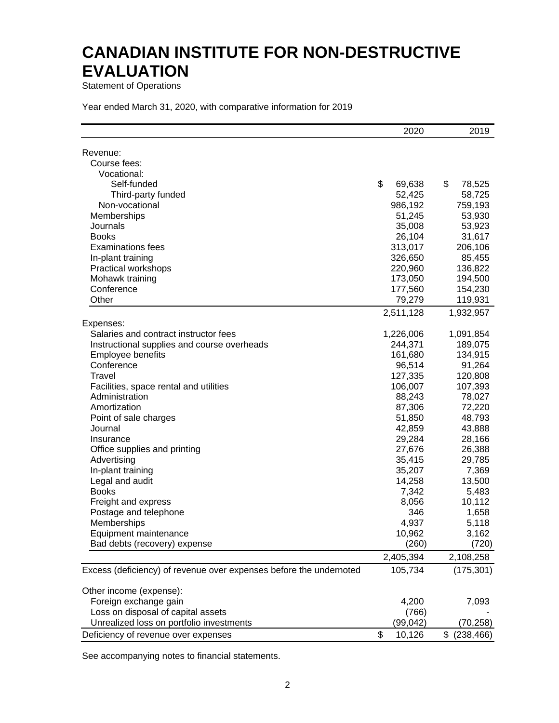Statement of Operations

|                                                                    | 2020         | 2019             |
|--------------------------------------------------------------------|--------------|------------------|
| Revenue:                                                           |              |                  |
| Course fees:                                                       |              |                  |
| Vocational:                                                        |              |                  |
| Self-funded                                                        | \$<br>69,638 | \$<br>78,525     |
| Third-party funded                                                 | 52,425       | 58,725           |
| Non-vocational                                                     | 986,192      | 759,193          |
| Memberships                                                        | 51,245       | 53,930           |
| Journals                                                           | 35,008       | 53,923           |
| <b>Books</b>                                                       | 26,104       | 31,617           |
| <b>Examinations fees</b>                                           | 313,017      | 206,106          |
| In-plant training                                                  | 326,650      | 85,455           |
| Practical workshops                                                | 220,960      | 136,822          |
| Mohawk training                                                    | 173,050      | 194,500          |
| Conference                                                         | 177,560      | 154,230          |
| Other                                                              | 79,279       | 119,931          |
|                                                                    | 2,511,128    | 1,932,957        |
| Expenses:                                                          |              |                  |
| Salaries and contract instructor fees                              | 1,226,006    | 1,091,854        |
| Instructional supplies and course overheads                        | 244,371      | 189,075          |
| Employee benefits                                                  | 161,680      | 134,915          |
| Conference                                                         | 96,514       | 91,264           |
| Travel                                                             | 127,335      | 120,808          |
| Facilities, space rental and utilities                             | 106,007      | 107,393          |
| Administration                                                     | 88,243       | 78,027           |
| Amortization                                                       | 87,306       | 72,220           |
| Point of sale charges                                              | 51,850       | 48,793           |
| Journal                                                            | 42,859       | 43,888           |
| Insurance                                                          | 29,284       | 28,166           |
| Office supplies and printing                                       | 27,676       | 26,388           |
| Advertising                                                        | 35,415       | 29,785           |
| In-plant training                                                  | 35,207       | 7,369            |
| Legal and audit                                                    | 14,258       | 13,500           |
| <b>Books</b>                                                       | 7,342        | 5,483            |
| Freight and express                                                | 8,056        | 10,112           |
| Postage and telephone                                              | 346          | 1,658            |
| Memberships                                                        | 4,937        | 5,118            |
| Equipment maintenance                                              | 10,962       | 3,162            |
| Bad debts (recovery) expense                                       | (260)        | (720)            |
|                                                                    | 2,405,394    | 2,108,258        |
|                                                                    |              |                  |
| Excess (deficiency) of revenue over expenses before the undernoted | 105,734      | (175, 301)       |
| Other income (expense):                                            |              |                  |
| Foreign exchange gain                                              | 4,200        | 7,093            |
| Loss on disposal of capital assets                                 | (766)        |                  |
| Unrealized loss on portfolio investments                           | (99,042)     | (70, 258)        |
| Deficiency of revenue over expenses                                | \$<br>10,126 | \$<br>(238, 466) |

See accompanying notes to financial statements.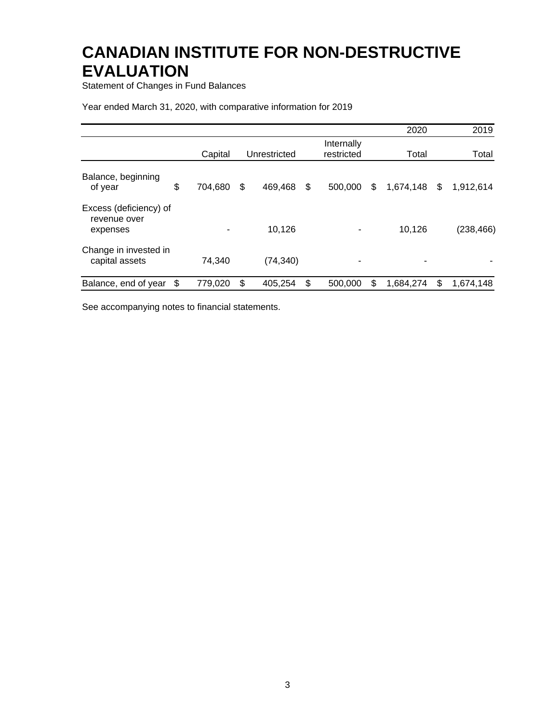Statement of Changes in Fund Balances

#### Year ended March 31, 2020, with comparative information for 2019

|                                                    |    |         |               |                          | 2020            | 2019            |
|----------------------------------------------------|----|---------|---------------|--------------------------|-----------------|-----------------|
|                                                    |    | Capital | Unrestricted  | Internally<br>restricted | Total           | Total           |
| Balance, beginning<br>of year                      | \$ | 704,680 | \$<br>469,468 | \$<br>500,000            | \$<br>1,674,148 | \$<br>1,912,614 |
| Excess (deficiency) of<br>revenue over<br>expenses |    |         | 10,126        |                          | 10,126          | (238, 466)      |
| Change in invested in<br>capital assets            |    | 74,340  | (74, 340)     |                          |                 |                 |
| Balance, end of year                               | S  | 779,020 | \$<br>405,254 | \$<br>500,000            | \$<br>1,684,274 | \$<br>1,674,148 |

See accompanying notes to financial statements.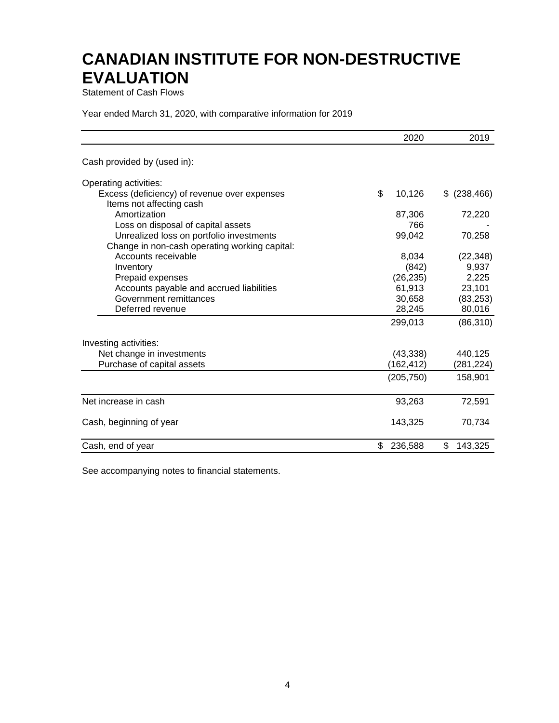Statement of Cash Flows

Year ended March 31, 2020, with comparative information for 2019

|                                                                          | 2020          | 2019             |
|--------------------------------------------------------------------------|---------------|------------------|
| Cash provided by (used in):                                              |               |                  |
| Operating activities:                                                    |               |                  |
| Excess (deficiency) of revenue over expenses<br>Items not affecting cash | \$<br>10,126  | (238, 466)<br>\$ |
| Amortization                                                             | 87,306        | 72,220           |
| Loss on disposal of capital assets                                       | 766           |                  |
| Unrealized loss on portfolio investments                                 | 99,042        | 70,258           |
| Change in non-cash operating working capital:                            |               |                  |
| Accounts receivable                                                      | 8,034         | (22, 348)        |
| Inventory                                                                | (842)         | 9,937            |
| Prepaid expenses                                                         | (26, 235)     | 2,225            |
| Accounts payable and accrued liabilities                                 | 61,913        | 23,101           |
| Government remittances                                                   | 30,658        | (83, 253)        |
| Deferred revenue                                                         | 28,245        | 80,016           |
|                                                                          | 299,013       | (86, 310)        |
| Investing activities:                                                    |               |                  |
| Net change in investments                                                | (43, 338)     | 440,125          |
| Purchase of capital assets                                               | (162,412)     | (281,224)        |
|                                                                          | (205, 750)    | 158,901          |
| Net increase in cash                                                     | 93,263        | 72,591           |
| Cash, beginning of year                                                  | 143,325       | 70,734           |
| Cash, end of year                                                        | \$<br>236,588 | \$<br>143,325    |

See accompanying notes to financial statements.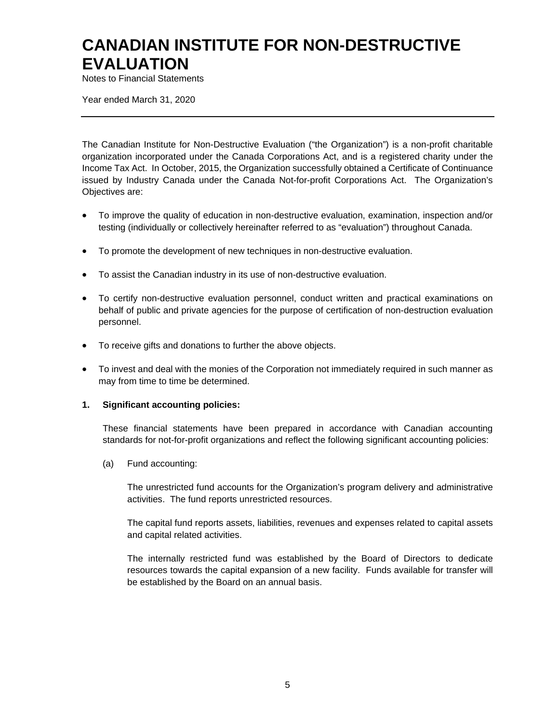Notes to Financial Statements

Year ended March 31, 2020

The Canadian Institute for Non-Destructive Evaluation ("the Organization") is a non-profit charitable organization incorporated under the Canada Corporations Act, and is a registered charity under the Income Tax Act. In October, 2015, the Organization successfully obtained a Certificate of Continuance issued by Industry Canada under the Canada Not-for-profit Corporations Act. The Organization's Objectives are:

- To improve the quality of education in non-destructive evaluation, examination, inspection and/or testing (individually or collectively hereinafter referred to as "evaluation") throughout Canada.
- To promote the development of new techniques in non-destructive evaluation.
- To assist the Canadian industry in its use of non-destructive evaluation.
- To certify non-destructive evaluation personnel, conduct written and practical examinations on behalf of public and private agencies for the purpose of certification of non-destruction evaluation personnel.
- To receive gifts and donations to further the above objects.
- To invest and deal with the monies of the Corporation not immediately required in such manner as may from time to time be determined.

#### **1. Significant accounting policies:**

These financial statements have been prepared in accordance with Canadian accounting standards for not-for-profit organizations and reflect the following significant accounting policies:

(a) Fund accounting:

The unrestricted fund accounts for the Organization's program delivery and administrative activities. The fund reports unrestricted resources.

The capital fund reports assets, liabilities, revenues and expenses related to capital assets and capital related activities.

The internally restricted fund was established by the Board of Directors to dedicate resources towards the capital expansion of a new facility. Funds available for transfer will be established by the Board on an annual basis.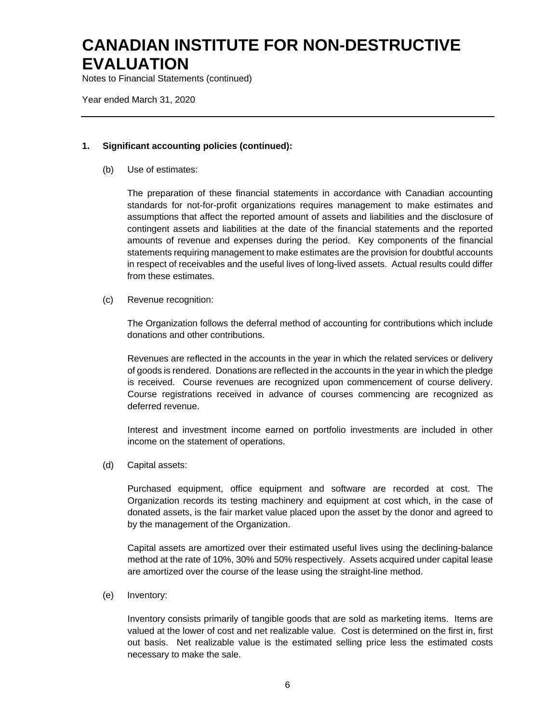Notes to Financial Statements (continued)

Year ended March 31, 2020

#### **1. Significant accounting policies (continued):**

(b) Use of estimates:

The preparation of these financial statements in accordance with Canadian accounting standards for not-for-profit organizations requires management to make estimates and assumptions that affect the reported amount of assets and liabilities and the disclosure of contingent assets and liabilities at the date of the financial statements and the reported amounts of revenue and expenses during the period. Key components of the financial statements requiring management to make estimates are the provision for doubtful accounts in respect of receivables and the useful lives of long-lived assets. Actual results could differ from these estimates.

(c) Revenue recognition:

The Organization follows the deferral method of accounting for contributions which include donations and other contributions.

Revenues are reflected in the accounts in the year in which the related services or delivery of goods is rendered. Donations are reflected in the accounts in the year in which the pledge is received. Course revenues are recognized upon commencement of course delivery. Course registrations received in advance of courses commencing are recognized as deferred revenue.

Interest and investment income earned on portfolio investments are included in other income on the statement of operations.

(d) Capital assets:

Purchased equipment, office equipment and software are recorded at cost. The Organization records its testing machinery and equipment at cost which, in the case of donated assets, is the fair market value placed upon the asset by the donor and agreed to by the management of the Organization.

Capital assets are amortized over their estimated useful lives using the declining-balance method at the rate of 10%, 30% and 50% respectively. Assets acquired under capital lease are amortized over the course of the lease using the straight-line method.

(e) Inventory:

Inventory consists primarily of tangible goods that are sold as marketing items. Items are valued at the lower of cost and net realizable value. Cost is determined on the first in, first out basis. Net realizable value is the estimated selling price less the estimated costs necessary to make the sale.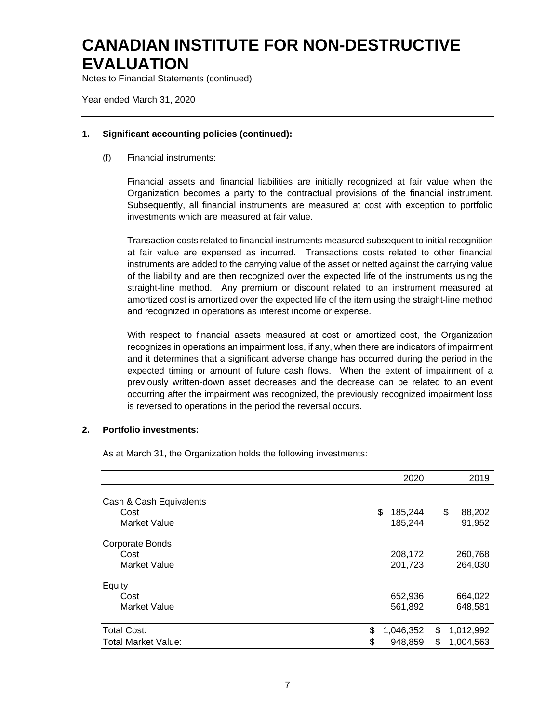Notes to Financial Statements (continued)

Year ended March 31, 2020

#### **1. Significant accounting policies (continued):**

(f) Financial instruments:

Financial assets and financial liabilities are initially recognized at fair value when the Organization becomes a party to the contractual provisions of the financial instrument. Subsequently, all financial instruments are measured at cost with exception to portfolio investments which are measured at fair value.

Transaction costs related to financial instruments measured subsequent to initial recognition at fair value are expensed as incurred. Transactions costs related to other financial instruments are added to the carrying value of the asset or netted against the carrying value of the liability and are then recognized over the expected life of the instruments using the straight-line method. Any premium or discount related to an instrument measured at amortized cost is amortized over the expected life of the item using the straight-line method and recognized in operations as interest income or expense.

With respect to financial assets measured at cost or amortized cost, the Organization recognizes in operations an impairment loss, if any, when there are indicators of impairment and it determines that a significant adverse change has occurred during the period in the expected timing or amount of future cash flows. When the extent of impairment of a previously written-down asset decreases and the decrease can be related to an event occurring after the impairment was recognized, the previously recognized impairment loss is reversed to operations in the period the reversal occurs.

#### **2. Portfolio investments:**

As at March 31, the Organization holds the following investments:

|                                                  |          | 2020                     |          | 2019                   |
|--------------------------------------------------|----------|--------------------------|----------|------------------------|
| Cash & Cash Equivalents<br>Cost<br>Market Value  |          | \$<br>185,244<br>185,244 |          | \$<br>88,202<br>91,952 |
| Corporate Bonds<br>Cost<br><b>Market Value</b>   |          | 208,172<br>201,723       |          | 260,768<br>264,030     |
| Equity<br>Cost<br><b>Market Value</b>            |          | 652,936<br>561,892       |          | 664,022<br>648,581     |
| <b>Total Cost:</b><br><b>Total Market Value:</b> | \$<br>\$ | 1,046,352<br>948,859     | \$<br>\$ | 1,012,992<br>1,004,563 |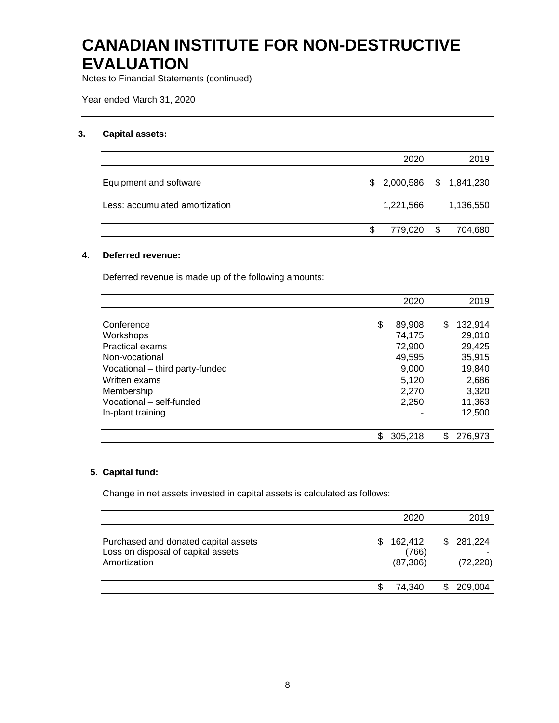Notes to Financial Statements (continued)

Year ended March 31, 2020

#### **3. Capital assets:**

|                                |    | 2020                      | 2019          |
|--------------------------------|----|---------------------------|---------------|
| Equipment and software         |    | $$2,000,586$ $$1,841,230$ |               |
| Less: accumulated amortization |    | 1,221,566                 | 1,136,550     |
|                                | S. | 779,020                   | \$<br>704,680 |

#### **4. Deferred revenue:**

Deferred revenue is made up of the following amounts:

|                                 | 2020         | 2019          |
|---------------------------------|--------------|---------------|
|                                 |              |               |
| Conference                      | \$<br>89,908 | \$<br>132,914 |
| Workshops                       | 74,175       | 29,010        |
| <b>Practical exams</b>          | 72,900       | 29,425        |
| Non-vocational                  | 49,595       | 35,915        |
| Vocational – third party-funded | 9,000        | 19,840        |
| Written exams                   | 5,120        | 2,686         |
| Membership                      | 2.270        | 3.320         |
| Vocational - self-funded        | 2.250        | 11,363        |
| In-plant training               |              | 12,500        |
|                                 |              |               |
|                                 | 305,218      | 276,973       |

#### **5. Capital fund:**

Change in net assets invested in capital assets is calculated as follows:

|                                                                                            |    | 2020                          | 2019                   |
|--------------------------------------------------------------------------------------------|----|-------------------------------|------------------------|
| Purchased and donated capital assets<br>Loss on disposal of capital assets<br>Amortization | S. | 162,412<br>(766)<br>(87, 306) | \$281,224<br>(72, 220) |
|                                                                                            |    | 74.340                        | 209,004                |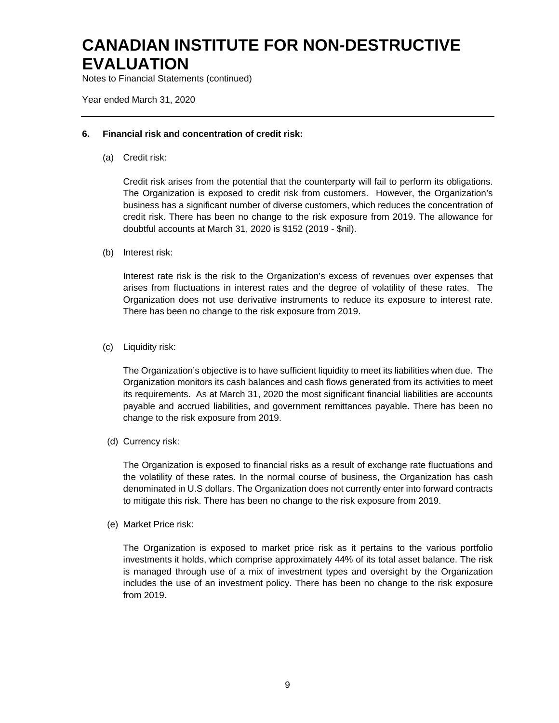Notes to Financial Statements (continued)

Year ended March 31, 2020

#### **6. Financial risk and concentration of credit risk:**

(a) Credit risk:

Credit risk arises from the potential that the counterparty will fail to perform its obligations. The Organization is exposed to credit risk from customers. However, the Organization's business has a significant number of diverse customers, which reduces the concentration of credit risk. There has been no change to the risk exposure from 2019. The allowance for doubtful accounts at March 31, 2020 is \$152 (2019 - \$nil).

(b) Interest risk:

Interest rate risk is the risk to the Organization's excess of revenues over expenses that arises from fluctuations in interest rates and the degree of volatility of these rates. The Organization does not use derivative instruments to reduce its exposure to interest rate. There has been no change to the risk exposure from 2019.

(c) Liquidity risk:

The Organization's objective is to have sufficient liquidity to meet its liabilities when due. The Organization monitors its cash balances and cash flows generated from its activities to meet its requirements. As at March 31, 2020 the most significant financial liabilities are accounts payable and accrued liabilities, and government remittances payable. There has been no change to the risk exposure from 2019.

(d) Currency risk:

The Organization is exposed to financial risks as a result of exchange rate fluctuations and the volatility of these rates. In the normal course of business, the Organization has cash denominated in U.S dollars. The Organization does not currently enter into forward contracts to mitigate this risk. There has been no change to the risk exposure from 2019.

(e) Market Price risk:

The Organization is exposed to market price risk as it pertains to the various portfolio investments it holds, which comprise approximately 44% of its total asset balance. The risk is managed through use of a mix of investment types and oversight by the Organization includes the use of an investment policy. There has been no change to the risk exposure from 2019.